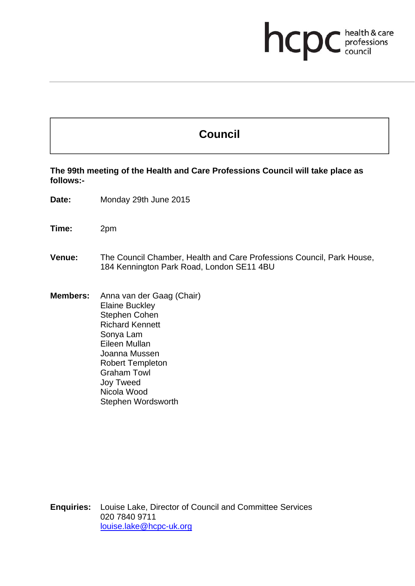# **health & care**

## **Council**

**The 99th meeting of the Health and Care Professions Council will take place as follows:-** 

**Date:** Monday 29th June 2015

**Time:** 2pm

#### **Venue:** The Council Chamber, Health and Care Professions Council, Park House, 184 Kennington Park Road, London SE11 4BU

**Members:** Anna van der Gaag (Chair) Elaine Buckley Stephen Cohen Richard Kennett Sonya Lam Eileen Mullan Joanna Mussen Robert Templeton Graham Towl Joy Tweed Nicola Wood Stephen Wordsworth

**Enquiries:** Louise Lake, Director of Council and Committee Services 020 7840 9711 louise.lake@hcpc-uk.org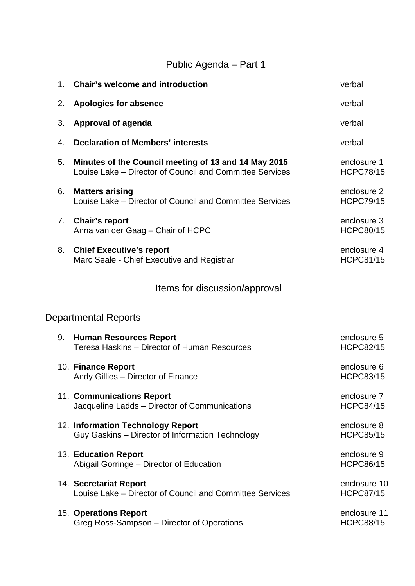## Public Agenda – Part 1

| 1. | <b>Chair's welcome and introduction</b>                                                                          | verbal                           |
|----|------------------------------------------------------------------------------------------------------------------|----------------------------------|
| 2. | <b>Apologies for absence</b>                                                                                     | verbal                           |
| 3. | <b>Approval of agenda</b>                                                                                        | verbal                           |
| 4. | <b>Declaration of Members' interests</b>                                                                         | verbal                           |
| 5. | Minutes of the Council meeting of 13 and 14 May 2015<br>Louise Lake – Director of Council and Committee Services | enclosure 1<br><b>HCPC78/15</b>  |
| 6. | <b>Matters arising</b><br>Louise Lake - Director of Council and Committee Services                               | enclosure 2<br><b>HCPC79/15</b>  |
| 7. | <b>Chair's report</b><br>Anna van der Gaag - Chair of HCPC                                                       | enclosure 3<br><b>HCPC80/15</b>  |
| 8. | <b>Chief Executive's report</b><br>Marc Seale - Chief Executive and Registrar                                    | enclosure 4<br><b>HCPC81/15</b>  |
|    | Items for discussion/approval                                                                                    |                                  |
|    | Departmental Reports                                                                                             |                                  |
| 9. | <b>Human Resources Report</b><br>Teresa Haskins - Director of Human Resources                                    | enclosure 5<br><b>HCPC82/15</b>  |
|    | 10. Finance Report<br>Andy Gillies - Director of Finance                                                         | enclosure 6<br><b>HCPC83/15</b>  |
|    | 11. Communications Report<br>Jacqueline Ladds - Director of Communications                                       | enclosure 7<br><b>HCPC84/15</b>  |
|    | 12. Information Technology Report<br>Guy Gaskins - Director of Information Technology                            | enclosure 8<br><b>HCPC85/15</b>  |
|    | 13. Education Report<br>Abigail Gorringe - Director of Education                                                 | enclosure 9<br><b>HCPC86/15</b>  |
|    | 14. Secretariat Report<br>Louise Lake – Director of Council and Committee Services                               | enclosure 10<br><b>HCPC87/15</b> |
|    | <b>15. Operations Report</b><br>Greg Ross-Sampson – Director of Operations                                       | enclosure 11<br><b>HCPC88/15</b> |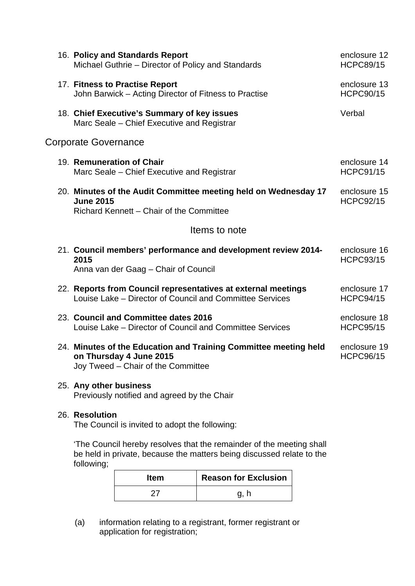|                             | 16. Policy and Standards Report<br>Michael Guthrie – Director of Policy and Standards                                             | enclosure 12<br><b>HCPC89/15</b> |  |  |
|-----------------------------|-----------------------------------------------------------------------------------------------------------------------------------|----------------------------------|--|--|
|                             | 17. Fitness to Practise Report<br>John Barwick – Acting Director of Fitness to Practise                                           | enclosure 13<br><b>HCPC90/15</b> |  |  |
|                             | 18. Chief Executive's Summary of key issues<br>Marc Seale – Chief Executive and Registrar                                         | Verbal                           |  |  |
| <b>Corporate Governance</b> |                                                                                                                                   |                                  |  |  |
|                             | 19. Remuneration of Chair<br>Marc Seale – Chief Executive and Registrar                                                           | enclosure 14<br><b>HCPC91/15</b> |  |  |
|                             | 20. Minutes of the Audit Committee meeting held on Wednesday 17<br><b>June 2015</b><br>Richard Kennett - Chair of the Committee   | enclosure 15<br><b>HCPC92/15</b> |  |  |
| Items to note               |                                                                                                                                   |                                  |  |  |
|                             | 21. Council members' performance and development review 2014-<br>2015<br>Anna van der Gaag - Chair of Council                     | enclosure 16<br><b>HCPC93/15</b> |  |  |
|                             | 22. Reports from Council representatives at external meetings<br>Louise Lake - Director of Council and Committee Services         | enclosure 17<br><b>HCPC94/15</b> |  |  |
|                             | 23. Council and Committee dates 2016<br>Louise Lake - Director of Council and Committee Services                                  | enclosure 18<br><b>HCPC95/15</b> |  |  |
|                             | 24. Minutes of the Education and Training Committee meeting held<br>on Thursday 4 June 2015<br>Joy Tweed - Chair of the Committee | enclosure 19<br><b>HCPC96/15</b> |  |  |
|                             | 25. Any other business<br>Previously notified and agreed by the Chair                                                             |                                  |  |  |
|                             | 26. Resolution<br>The Council is invited to adopt the following:                                                                  |                                  |  |  |

'The Council hereby resolves that the remainder of the meeting shall be held in private, because the matters being discussed relate to the following;

| <b>Item</b> | <b>Reason for Exclusion</b> |
|-------------|-----------------------------|
|             | g, h                        |

(a) information relating to a registrant, former registrant or application for registration;